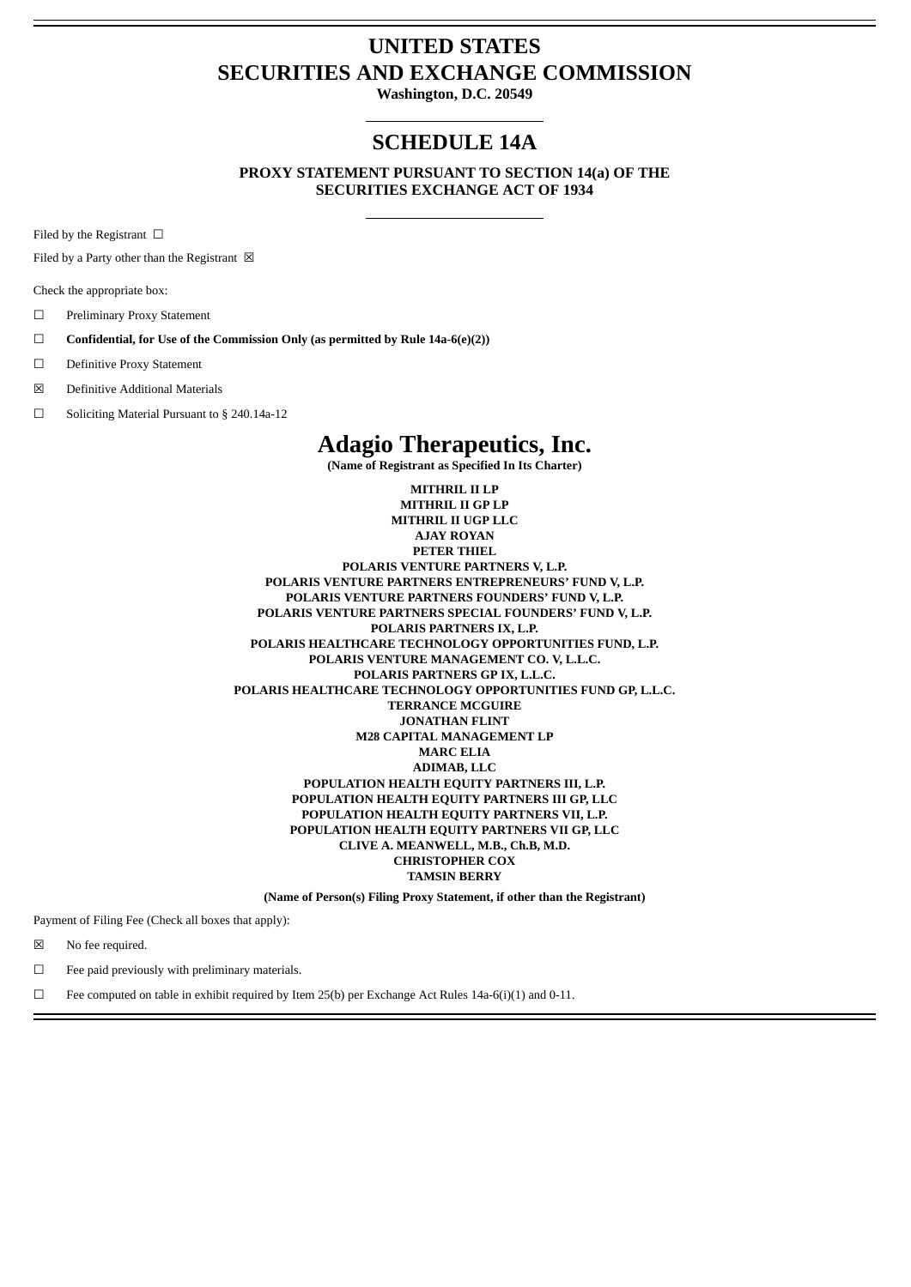# **UNITED STATES SECURITIES AND EXCHANGE COMMISSION**

**Washington, D.C. 20549**

# **SCHEDULE 14A**

**PROXY STATEMENT PURSUANT TO SECTION 14(a) OF THE SECURITIES EXCHANGE ACT OF 1934**

Filed by the Registrant  $\Box$ 

Filed by a Party other than the Registrant  $\boxtimes$ 

Check the appropriate box:

- ☐ Preliminary Proxy Statement
- ☐ **Confidential, for Use of the Commission Only (as permitted by Rule 14a-6(e)(2))**
- ☐ Definitive Proxy Statement
- ☒ Definitive Additional Materials
- ☐ Soliciting Material Pursuant to § 240.14a-12

# **Adagio Therapeutics, Inc.**

**(Name of Registrant as Specified In Its Charter)**

**MITHRIL II LP MITHRIL II GP LP MITHRIL II UGP LLC AJAY ROYAN PETER THIEL POLARIS VENTURE PARTNERS V, L.P. POLARIS VENTURE PARTNERS ENTREPRENEURS' FUND V, L.P. POLARIS VENTURE PARTNERS FOUNDERS' FUND V, L.P. POLARIS VENTURE PARTNERS SPECIAL FOUNDERS' FUND V, L.P. POLARIS PARTNERS IX, L.P. POLARIS HEALTHCARE TECHNOLOGY OPPORTUNITIES FUND, L.P. POLARIS VENTURE MANAGEMENT CO. V, L.L.C. POLARIS PARTNERS GP IX, L.L.C. POLARIS HEALTHCARE TECHNOLOGY OPPORTUNITIES FUND GP, L.L.C. TERRANCE MCGUIRE JONATHAN FLINT M28 CAPITAL MANAGEMENT LP MARC ELIA ADIMAB, LLC POPULATION HEALTH EQUITY PARTNERS III, L.P. POPULATION HEALTH EQUITY PARTNERS III GP, LLC POPULATION HEALTH EQUITY PARTNERS VII, L.P. POPULATION HEALTH EQUITY PARTNERS VII GP, LLC CLIVE A. MEANWELL, M.B., Ch.B, M.D. CHRISTOPHER COX TAMSIN BERRY**

**(Name of Person(s) Filing Proxy Statement, if other than the Registrant)**

Payment of Filing Fee (Check all boxes that apply):

☒ No fee required.

 $\Box$  Fee paid previously with preliminary materials.

 $\Box$  Fee computed on table in exhibit required by Item 25(b) per Exchange Act Rules 14a-6(i)(1) and 0-11.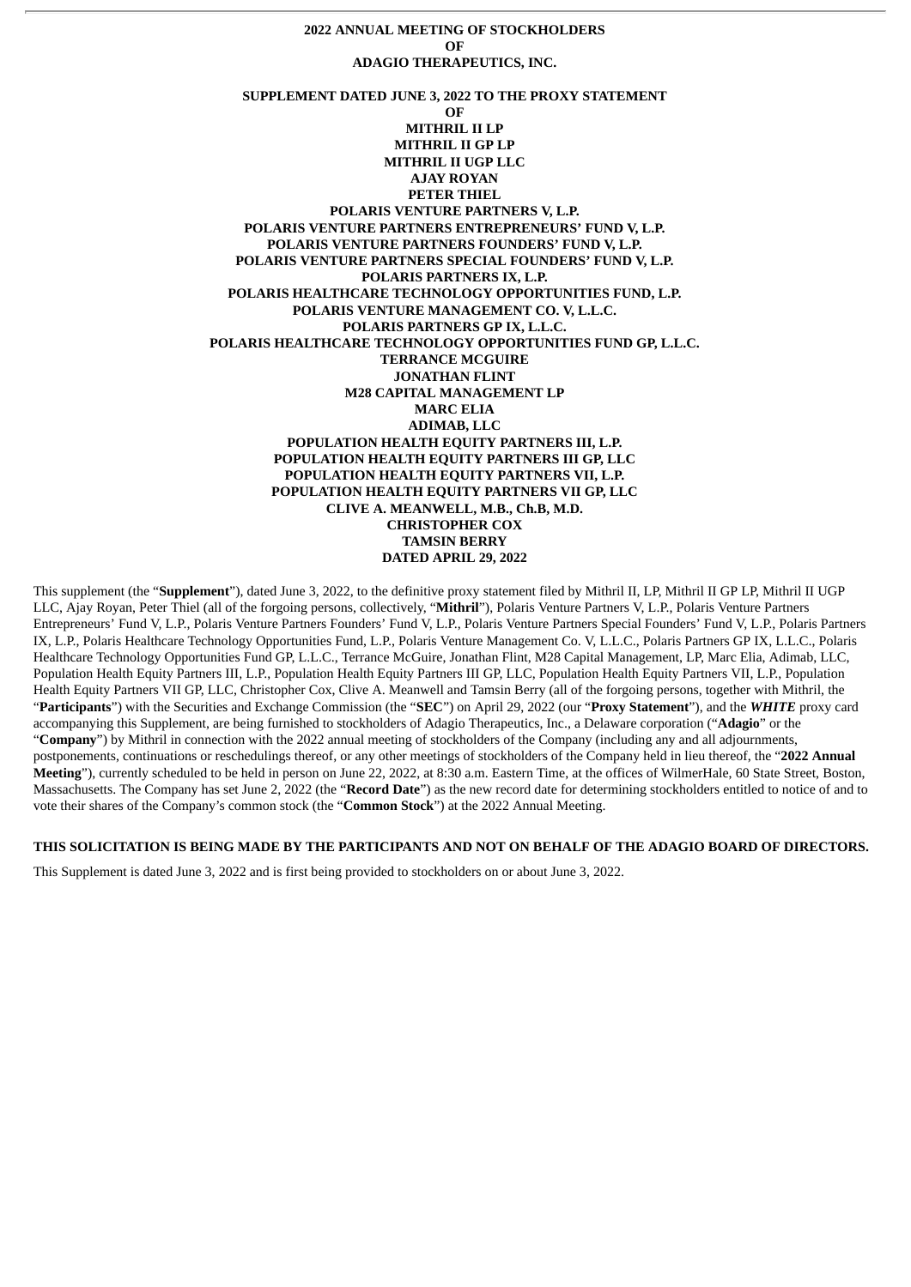**2022 ANNUAL MEETING OF STOCKHOLDERS OF ADAGIO THERAPEUTICS, INC. SUPPLEMENT DATED JUNE 3, 2022 TO THE PROXY STATEMENT OF MITHRIL II LP MITHRIL II GP LP MITHRIL II UGP LLC AJAY ROYAN PETER THIEL POLARIS VENTURE PARTNERS V, L.P. POLARIS VENTURE PARTNERS ENTREPRENEURS' FUND V, L.P. POLARIS VENTURE PARTNERS FOUNDERS' FUND V, L.P. POLARIS VENTURE PARTNERS SPECIAL FOUNDERS' FUND V, L.P. POLARIS PARTNERS IX, L.P. POLARIS HEALTHCARE TECHNOLOGY OPPORTUNITIES FUND, L.P. POLARIS VENTURE MANAGEMENT CO. V, L.L.C. POLARIS PARTNERS GP IX, L.L.C. POLARIS HEALTHCARE TECHNOLOGY OPPORTUNITIES FUND GP, L.L.C. TERRANCE MCGUIRE JONATHAN FLINT M28 CAPITAL MANAGEMENT LP MARC ELIA ADIMAB, LLC POPULATION HEALTH EQUITY PARTNERS III, L.P. POPULATION HEALTH EQUITY PARTNERS III GP, LLC POPULATION HEALTH EQUITY PARTNERS VII, L.P. POPULATION HEALTH EQUITY PARTNERS VII GP, LLC CLIVE A. MEANWELL, M.B., Ch.B, M.D. CHRISTOPHER COX TAMSIN BERRY DATED APRIL 29, 2022**

This supplement (the "**Supplement**"), dated June 3, 2022, to the definitive proxy statement filed by Mithril II, LP, Mithril II GP LP, Mithril II UGP LLC, Ajay Royan, Peter Thiel (all of the forgoing persons, collectively, "**Mithril**"), Polaris Venture Partners V, L.P., Polaris Venture Partners Entrepreneurs' Fund V, L.P., Polaris Venture Partners Founders' Fund V, L.P., Polaris Venture Partners Special Founders' Fund V, L.P., Polaris Partners IX, L.P., Polaris Healthcare Technology Opportunities Fund, L.P., Polaris Venture Management Co. V, L.L.C., Polaris Partners GP IX, L.L.C., Polaris Healthcare Technology Opportunities Fund GP, L.L.C., Terrance McGuire, Jonathan Flint, M28 Capital Management, LP, Marc Elia, Adimab, LLC, Population Health Equity Partners III, L.P., Population Health Equity Partners III GP, LLC, Population Health Equity Partners VII, L.P., Population Health Equity Partners VII GP, LLC, Christopher Cox, Clive A. Meanwell and Tamsin Berry (all of the forgoing persons, together with Mithril, the "**Participants**") with the Securities and Exchange Commission (the "**SEC**") on April 29, 2022 (our "**Proxy Statement**"), and the *WHITE* proxy card accompanying this Supplement, are being furnished to stockholders of Adagio Therapeutics, Inc., a Delaware corporation ("**Adagio**" or the "**Company**") by Mithril in connection with the 2022 annual meeting of stockholders of the Company (including any and all adjournments, postponements, continuations or reschedulings thereof, or any other meetings of stockholders of the Company held in lieu thereof, the "**2022 Annual Meeting**"), currently scheduled to be held in person on June 22, 2022, at 8:30 a.m. Eastern Time, at the offices of WilmerHale, 60 State Street, Boston, Massachusetts. The Company has set June 2, 2022 (the "**Record Date**") as the new record date for determining stockholders entitled to notice of and to vote their shares of the Company's common stock (the "**Common Stock**") at the 2022 Annual Meeting.

#### THIS SOLICITATION IS BEING MADE BY THE PARTICIPANTS AND NOT ON BEHALF OF THE ADAGIO BOARD OF DIRECTORS.

This Supplement is dated June 3, 2022 and is first being provided to stockholders on or about June 3, 2022.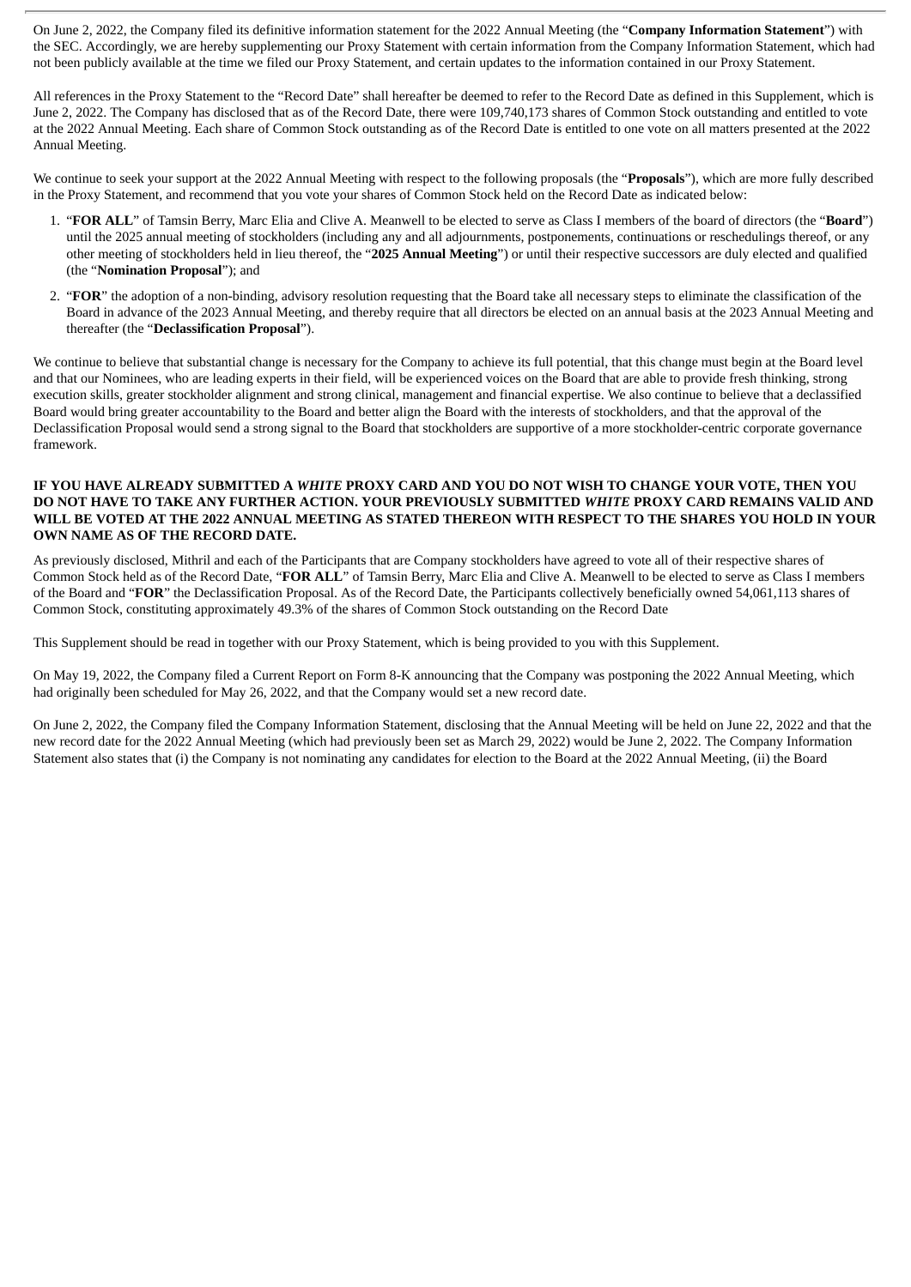On June 2, 2022, the Company filed its definitive information statement for the 2022 Annual Meeting (the "**Company Information Statement**") with the SEC. Accordingly, we are hereby supplementing our Proxy Statement with certain information from the Company Information Statement, which had not been publicly available at the time we filed our Proxy Statement, and certain updates to the information contained in our Proxy Statement.

All references in the Proxy Statement to the "Record Date" shall hereafter be deemed to refer to the Record Date as defined in this Supplement, which is June 2, 2022. The Company has disclosed that as of the Record Date, there were 109,740,173 shares of Common Stock outstanding and entitled to vote at the 2022 Annual Meeting. Each share of Common Stock outstanding as of the Record Date is entitled to one vote on all matters presented at the 2022 Annual Meeting.

We continue to seek your support at the 2022 Annual Meeting with respect to the following proposals (the "**Proposals**"), which are more fully described in the Proxy Statement, and recommend that you vote your shares of Common Stock held on the Record Date as indicated below:

- 1. "**FOR ALL**" of Tamsin Berry, Marc Elia and Clive A. Meanwell to be elected to serve as Class I members of the board of directors (the "**Board**") until the 2025 annual meeting of stockholders (including any and all adjournments, postponements, continuations or reschedulings thereof, or any other meeting of stockholders held in lieu thereof, the "**2025 Annual Meeting**") or until their respective successors are duly elected and qualified (the "**Nomination Proposal**"); and
- 2. "**FOR**" the adoption of a non-binding, advisory resolution requesting that the Board take all necessary steps to eliminate the classification of the Board in advance of the 2023 Annual Meeting, and thereby require that all directors be elected on an annual basis at the 2023 Annual Meeting and thereafter (the "**Declassification Proposal**").

We continue to believe that substantial change is necessary for the Company to achieve its full potential, that this change must begin at the Board level and that our Nominees, who are leading experts in their field, will be experienced voices on the Board that are able to provide fresh thinking, strong execution skills, greater stockholder alignment and strong clinical, management and financial expertise. We also continue to believe that a declassified Board would bring greater accountability to the Board and better align the Board with the interests of stockholders, and that the approval of the Declassification Proposal would send a strong signal to the Board that stockholders are supportive of a more stockholder-centric corporate governance framework.

#### IF YOU HAVE ALREADY SUBMITTED A WHITE PROXY CARD AND YOU DO NOT WISH TO CHANGE YOUR VOTE. THEN YOU **DO NOT HAVE TO TAKE ANY FURTHER ACTION. YOUR PREVIOUSLY SUBMITTED** *WHITE* **PROXY CARD REMAINS VALID AND** WILL BE VOTED AT THE 2022 ANNUAL MEETING AS STATED THEREON WITH RESPECT TO THE SHARES YOU HOLD IN YOUR **OWN NAME AS OF THE RECORD DATE.**

As previously disclosed, Mithril and each of the Participants that are Company stockholders have agreed to vote all of their respective shares of Common Stock held as of the Record Date, "**FOR ALL**" of Tamsin Berry, Marc Elia and Clive A. Meanwell to be elected to serve as Class I members of the Board and "**FOR**" the Declassification Proposal. As of the Record Date, the Participants collectively beneficially owned 54,061,113 shares of Common Stock, constituting approximately 49.3% of the shares of Common Stock outstanding on the Record Date

This Supplement should be read in together with our Proxy Statement, which is being provided to you with this Supplement.

On May 19, 2022, the Company filed a Current Report on Form 8-K announcing that the Company was postponing the 2022 Annual Meeting, which had originally been scheduled for May 26, 2022, and that the Company would set a new record date.

On June 2, 2022, the Company filed the Company Information Statement, disclosing that the Annual Meeting will be held on June 22, 2022 and that the new record date for the 2022 Annual Meeting (which had previously been set as March 29, 2022) would be June 2, 2022. The Company Information Statement also states that (i) the Company is not nominating any candidates for election to the Board at the 2022 Annual Meeting, (ii) the Board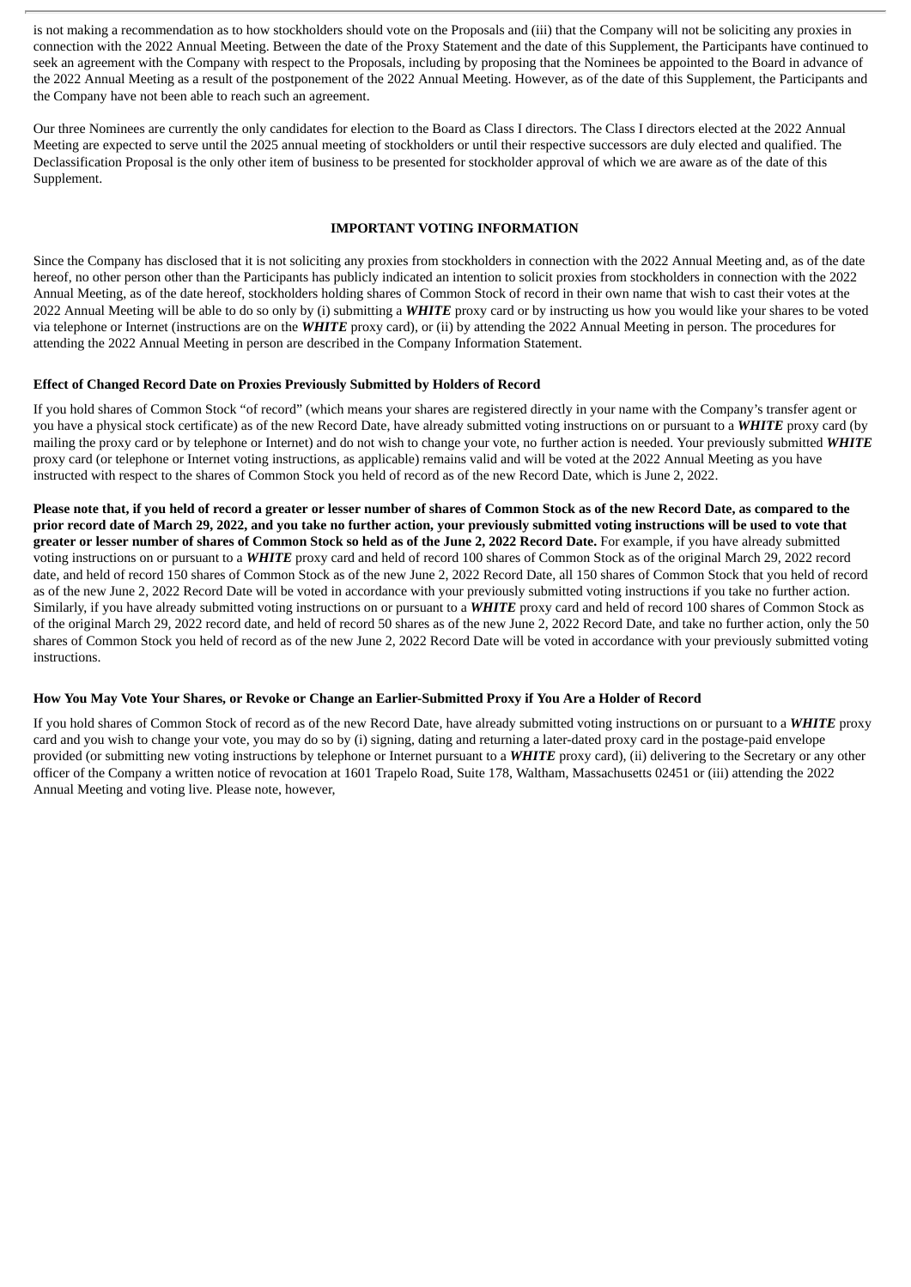is not making a recommendation as to how stockholders should vote on the Proposals and (iii) that the Company will not be soliciting any proxies in connection with the 2022 Annual Meeting. Between the date of the Proxy Statement and the date of this Supplement, the Participants have continued to seek an agreement with the Company with respect to the Proposals, including by proposing that the Nominees be appointed to the Board in advance of the 2022 Annual Meeting as a result of the postponement of the 2022 Annual Meeting. However, as of the date of this Supplement, the Participants and the Company have not been able to reach such an agreement.

Our three Nominees are currently the only candidates for election to the Board as Class I directors. The Class I directors elected at the 2022 Annual Meeting are expected to serve until the 2025 annual meeting of stockholders or until their respective successors are duly elected and qualified. The Declassification Proposal is the only other item of business to be presented for stockholder approval of which we are aware as of the date of this Supplement.

## **IMPORTANT VOTING INFORMATION**

Since the Company has disclosed that it is not soliciting any proxies from stockholders in connection with the 2022 Annual Meeting and, as of the date hereof, no other person other than the Participants has publicly indicated an intention to solicit proxies from stockholders in connection with the 2022 Annual Meeting, as of the date hereof, stockholders holding shares of Common Stock of record in their own name that wish to cast their votes at the 2022 Annual Meeting will be able to do so only by (i) submitting a *WHITE* proxy card or by instructing us how you would like your shares to be voted via telephone or Internet (instructions are on the *WHITE* proxy card), or (ii) by attending the 2022 Annual Meeting in person. The procedures for attending the 2022 Annual Meeting in person are described in the Company Information Statement.

#### **Effect of Changed Record Date on Proxies Previously Submitted by Holders of Record**

If you hold shares of Common Stock "of record" (which means your shares are registered directly in your name with the Company's transfer agent or you have a physical stock certificate) as of the new Record Date, have already submitted voting instructions on or pursuant to a *WHITE* proxy card (by mailing the proxy card or by telephone or Internet) and do not wish to change your vote, no further action is needed. Your previously submitted *WHITE* proxy card (or telephone or Internet voting instructions, as applicable) remains valid and will be voted at the 2022 Annual Meeting as you have instructed with respect to the shares of Common Stock you held of record as of the new Record Date, which is June 2, 2022.

Please note that, if you held of record a greater or lesser number of shares of Common Stock as of the new Record Date, as compared to the prior record date of March 29, 2022, and you take no further action, your previously submitted voting instructions will be used to vote that greater or lesser number of shares of Common Stock so held as of the June 2, 2022 Record Date. For example, if you have already submitted voting instructions on or pursuant to a *WHITE* proxy card and held of record 100 shares of Common Stock as of the original March 29, 2022 record date, and held of record 150 shares of Common Stock as of the new June 2, 2022 Record Date, all 150 shares of Common Stock that you held of record as of the new June 2, 2022 Record Date will be voted in accordance with your previously submitted voting instructions if you take no further action. Similarly, if you have already submitted voting instructions on or pursuant to a *WHITE* proxy card and held of record 100 shares of Common Stock as of the original March 29, 2022 record date, and held of record 50 shares as of the new June 2, 2022 Record Date, and take no further action, only the 50 shares of Common Stock you held of record as of the new June 2, 2022 Record Date will be voted in accordance with your previously submitted voting instructions.

#### How You May Vote Your Shares, or Revoke or Change an Earlier-Submitted Proxy if You Are a Holder of Record

If you hold shares of Common Stock of record as of the new Record Date, have already submitted voting instructions on or pursuant to a *WHITE* proxy card and you wish to change your vote, you may do so by (i) signing, dating and returning a later-dated proxy card in the postage-paid envelope provided (or submitting new voting instructions by telephone or Internet pursuant to a *WHITE* proxy card), (ii) delivering to the Secretary or any other officer of the Company a written notice of revocation at 1601 Trapelo Road, Suite 178, Waltham, Massachusetts 02451 or (iii) attending the 2022 Annual Meeting and voting live. Please note, however,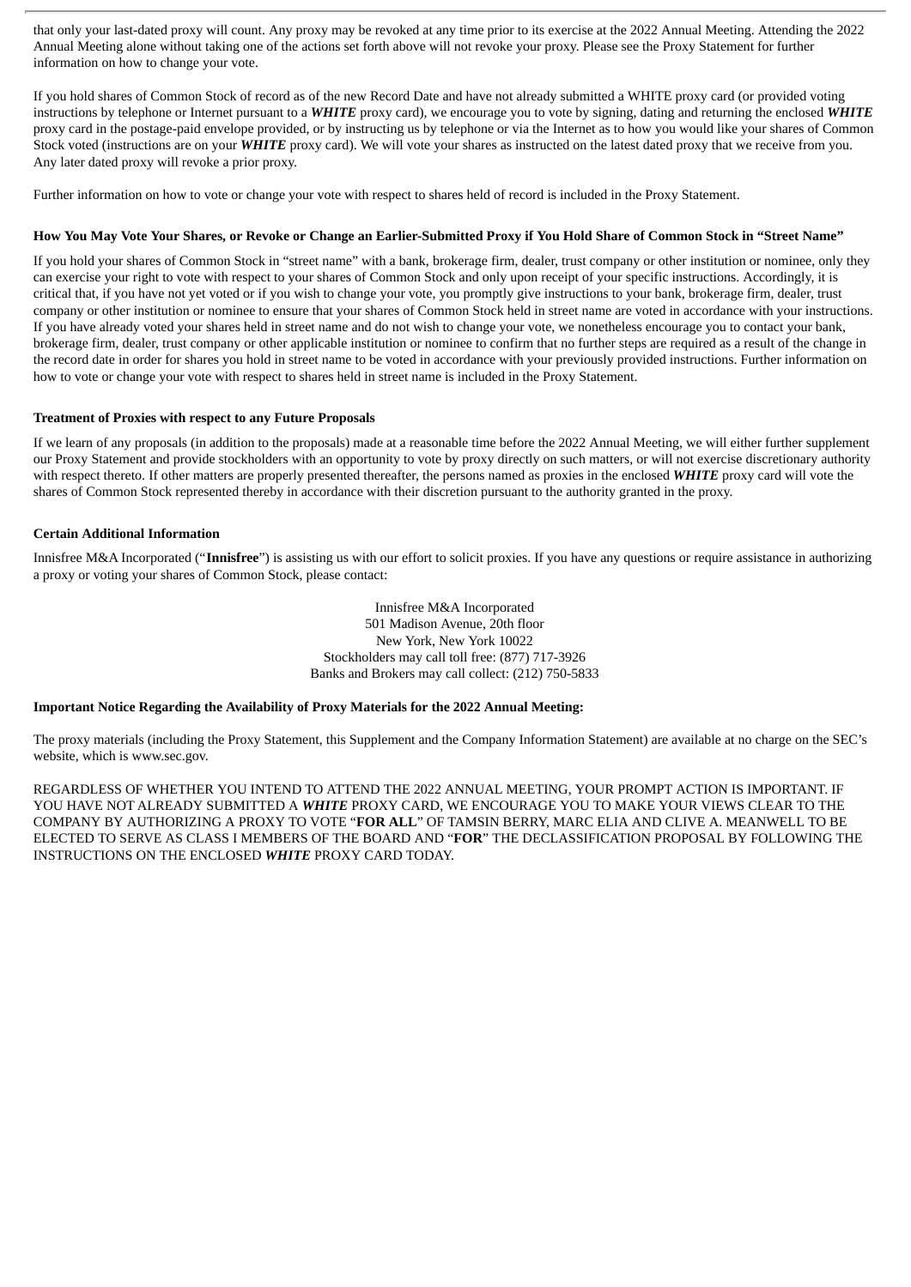that only your last-dated proxy will count. Any proxy may be revoked at any time prior to its exercise at the 2022 Annual Meeting. Attending the 2022 Annual Meeting alone without taking one of the actions set forth above will not revoke your proxy. Please see the Proxy Statement for further information on how to change your vote.

If you hold shares of Common Stock of record as of the new Record Date and have not already submitted a WHITE proxy card (or provided voting instructions by telephone or Internet pursuant to a *WHITE* proxy card), we encourage you to vote by signing, dating and returning the enclosed *WHITE* proxy card in the postage-paid envelope provided, or by instructing us by telephone or via the Internet as to how you would like your shares of Common Stock voted (instructions are on your *WHITE* proxy card). We will vote your shares as instructed on the latest dated proxy that we receive from you. Any later dated proxy will revoke a prior proxy.

Further information on how to vote or change your vote with respect to shares held of record is included in the Proxy Statement.

#### How You May Vote Your Shares, or Revoke or Change an Earlier-Submitted Proxy if You Hold Share of Common Stock in "Street Name"

If you hold your shares of Common Stock in "street name" with a bank, brokerage firm, dealer, trust company or other institution or nominee, only they can exercise your right to vote with respect to your shares of Common Stock and only upon receipt of your specific instructions. Accordingly, it is critical that, if you have not yet voted or if you wish to change your vote, you promptly give instructions to your bank, brokerage firm, dealer, trust company or other institution or nominee to ensure that your shares of Common Stock held in street name are voted in accordance with your instructions. If you have already voted your shares held in street name and do not wish to change your vote, we nonetheless encourage you to contact your bank, brokerage firm, dealer, trust company or other applicable institution or nominee to confirm that no further steps are required as a result of the change in the record date in order for shares you hold in street name to be voted in accordance with your previously provided instructions. Further information on how to vote or change your vote with respect to shares held in street name is included in the Proxy Statement.

#### **Treatment of Proxies with respect to any Future Proposals**

If we learn of any proposals (in addition to the proposals) made at a reasonable time before the 2022 Annual Meeting, we will either further supplement our Proxy Statement and provide stockholders with an opportunity to vote by proxy directly on such matters, or will not exercise discretionary authority with respect thereto. If other matters are properly presented thereafter, the persons named as proxies in the enclosed *WHITE* proxy card will vote the shares of Common Stock represented thereby in accordance with their discretion pursuant to the authority granted in the proxy.

# **Certain Additional Information**

Innisfree M&A Incorporated ("**Innisfree**") is assisting us with our effort to solicit proxies. If you have any questions or require assistance in authorizing a proxy or voting your shares of Common Stock, please contact:

> Innisfree M&A Incorporated 501 Madison Avenue, 20th floor New York, New York 10022 Stockholders may call toll free: (877) 717-3926 Banks and Brokers may call collect: (212) 750-5833

#### **Important Notice Regarding the Availability of Proxy Materials for the 2022 Annual Meeting:**

The proxy materials (including the Proxy Statement, this Supplement and the Company Information Statement) are available at no charge on the SEC's website, which is www.sec.gov.

REGARDLESS OF WHETHER YOU INTEND TO ATTEND THE 2022 ANNUAL MEETING, YOUR PROMPT ACTION IS IMPORTANT. IF YOU HAVE NOT ALREADY SUBMITTED A *WHITE* PROXY CARD, WE ENCOURAGE YOU TO MAKE YOUR VIEWS CLEAR TO THE COMPANY BY AUTHORIZING A PROXY TO VOTE "**FOR ALL**" OF TAMSIN BERRY, MARC ELIA AND CLIVE A. MEANWELL TO BE ELECTED TO SERVE AS CLASS I MEMBERS OF THE BOARD AND "**FOR**" THE DECLASSIFICATION PROPOSAL BY FOLLOWING THE INSTRUCTIONS ON THE ENCLOSED *WHITE* PROXY CARD TODAY.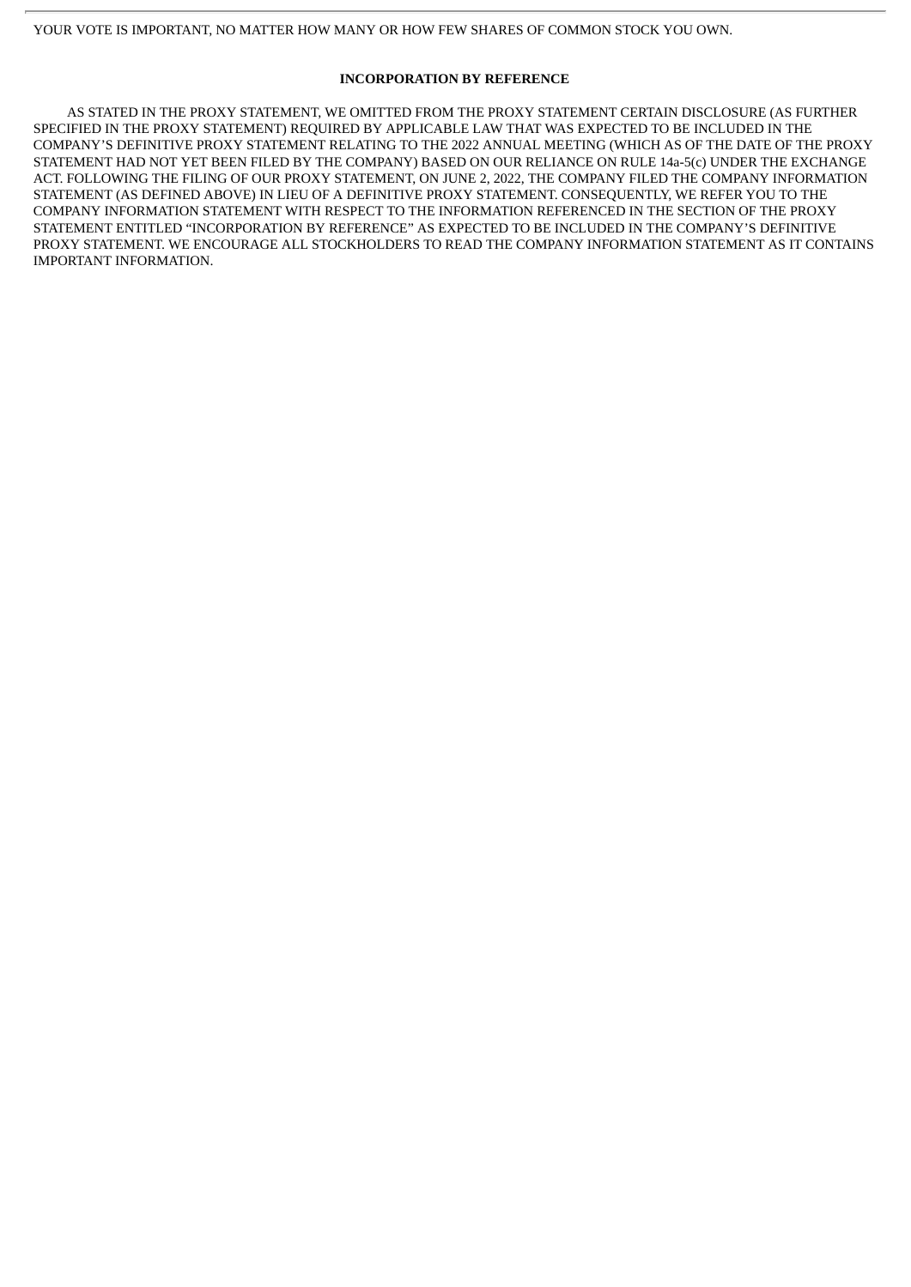# **INCORPORATION BY REFERENCE**

AS STATED IN THE PROXY STATEMENT, WE OMITTED FROM THE PROXY STATEMENT CERTAIN DISCLOSURE (AS FURTHER SPECIFIED IN THE PROXY STATEMENT) REQUIRED BY APPLICABLE LAW THAT WAS EXPECTED TO BE INCLUDED IN THE COMPANY'S DEFINITIVE PROXY STATEMENT RELATING TO THE 2022 ANNUAL MEETING (WHICH AS OF THE DATE OF THE PROXY STATEMENT HAD NOT YET BEEN FILED BY THE COMPANY) BASED ON OUR RELIANCE ON RULE 14a-5(c) UNDER THE EXCHANGE ACT. FOLLOWING THE FILING OF OUR PROXY STATEMENT, ON JUNE 2, 2022, THE COMPANY FILED THE COMPANY INFORMATION STATEMENT (AS DEFINED ABOVE) IN LIEU OF A DEFINITIVE PROXY STATEMENT. CONSEQUENTLY, WE REFER YOU TO THE COMPANY INFORMATION STATEMENT WITH RESPECT TO THE INFORMATION REFERENCED IN THE SECTION OF THE PROXY STATEMENT ENTITLED "INCORPORATION BY REFERENCE" AS EXPECTED TO BE INCLUDED IN THE COMPANY'S DEFINITIVE PROXY STATEMENT. WE ENCOURAGE ALL STOCKHOLDERS TO READ THE COMPANY INFORMATION STATEMENT AS IT CONTAINS IMPORTANT INFORMATION.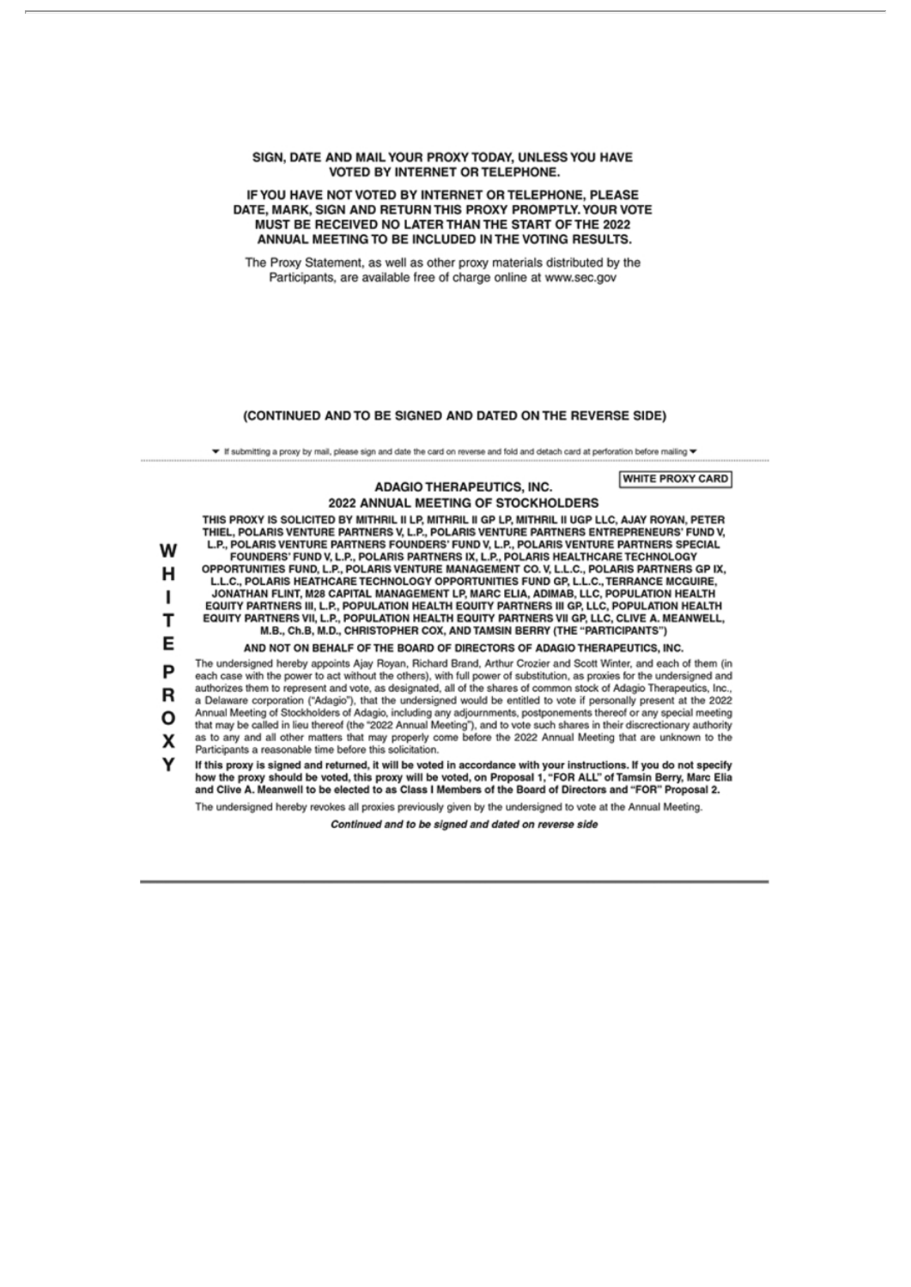#### SIGN, DATE AND MAIL YOUR PROXY TODAY, UNLESS YOU HAVE VOTED BY INTERNET OR TELEPHONE.

#### IF YOU HAVE NOT VOTED BY INTERNET OR TELEPHONE, PLEASE DATE, MARK, SIGN AND RETURN THIS PROXY PROMPTLY. YOUR VOTE MUST BE RECEIVED NO LATER THAN THE START OF THE 2022 ANNUAL MEETING TO BE INCLUDED IN THE VOTING RESULTS.

The Proxy Statement, as well as other proxy materials distributed by the Participants, are available free of charge online at www.sec.gov

#### (CONTINUED AND TO BE SIGNED AND DATED ON THE REVERSE SIDE)

▼ If submitting a proxy by mail, please sign and date the card on reverse and fold and detach card at perforation before mailing ▼

**WHITE PROXY CARD ADAGIO THERAPEUTICS, INC.** 2022 ANNUAL MEETING OF STOCKHOLDERS THIS PROXY IS SOLICITED BY MITHRIL II LP, MITHRIL II GP LP, MITHRIL II UGP LLC, AJAY ROYAN, PETER THIEL, POLARIS VENTURE PARTNERS V, L.P., POLARIS VENTURE PARTNERS ENTREPRENEURS' FUND V, L.P., POLARIS VENTURE PARTNERS FOUNDERS' FUND V, L.P., POLARIS VENTURE PARTNERS SPECIAL W FOUNDERS' FUND V, L.P., POLARIS PARTNERS IX, L.P., POLARIS HEALTHCARE TECHNOLOGY OPPORTUNITIES FUND, L.P., POLARIS VENTURE MANAGEMENT CO. V, L.L.C., POLARIS PARTNERS GP IX, Н L.L.C., POLARIS HEATHCARE TECHNOLOGY OPPORTUNITIES FUND GP, L.L.C., TERRANCE MCGUIRE, JONATHAN FLINT, M28 CAPITAL MANAGEMENT LP, MARC ELIA, ADIMAB, LLC, POPULATION HEALTH<br>EQUITY PARTNERS III, L.P., POPULATION HEALTH EQUITY PARTNERS III GP, LLC, POPULATION HEALTH п EQUITY PARTNERS VII, L.P., POPULATION HEALTH EQUITY PARTNERS VII GP, LLC, CLIVE A. MEANWELL. т M.B., Ch.B, M.D., CHRISTOPHER COX, AND TAMSIN BERRY (THE "PARTICIPANTS") E AND NOT ON BEHALF OF THE BOARD OF DIRECTORS OF ADAGIO THERAPEUTICS, INC. The undersigned hereby appoints Ajay Royan, Richard Brand, Arthur Crozier and Scott Winter, and each of them (in P each case with the power to act without the others), with full power of substitution, as proxies for the undersigned and authorizes them to represent and vote, as designated, all of the shares of common stock of Adagio Therapeutics, Inc., R a Delaware corporation ("Adagio"), that the undersigned would be entitled to vote if personally present at the 2022 Annual Meeting of Stockholders of Adagio, including any adjournments, postponements thereof or any special meeting Ο that may be called in lieu thereof (the "2022 Annual Meeting"), and to vote such shares in their discrectionary authority as to any and all other matters that may properly come before the 2022 Annual Meeting that are unknown to the X Participants a reasonable time before this solicitation. If this proxy is signed and returned, it will be voted in accordance with your instructions. If you do not specify<br>how the proxy should be voted, this proxy will be voted, on Proposal 1, "FOR ALL" of Tamsin Berry, Marc Eli ν The undersigned hereby revokes all proxies previously given by the undersigned to vote at the Annual Meeting.

Continued and to be signed and dated on reverse side

a a shekara